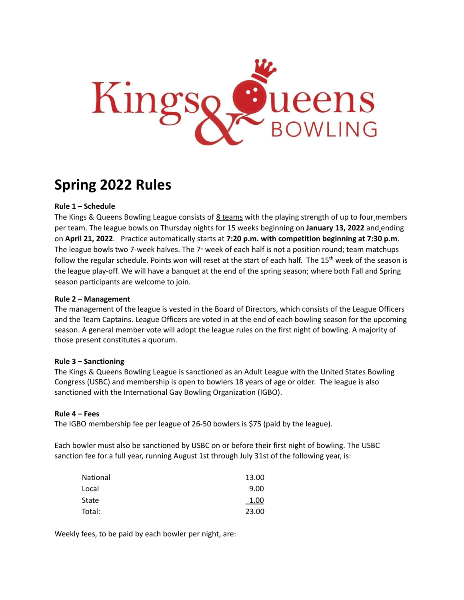

# **Spring 2022 Rules**

## **Rule 1 – Schedule**

The Kings & Queens Bowling League consists of 8 teams with the playing strength of up to four members per team. The league bowls on Thursday nights for 15 weeks beginning on **January 13, 2022** and ending on **April 21, 2022**. Practice automatically starts at **7:20 p.m. with competition beginning at 7:30 p.m**. The league bowls two 7-week halves. The  $7<sup>*</sup>$  week of each half is not a position round; team matchups follow the regular schedule. Points won will reset at the start of each half. The 15<sup>th</sup> week of the season is the league play-off. We will have a banquet at the end of the spring season; where both Fall and Spring season participants are welcome to join.

## **Rule 2 – Management**

The management of the league is vested in the Board of Directors, which consists of the League Officers and the Team Captains. League Officers are voted in at the end of each bowling season for the upcoming season. A general member vote will adopt the league rules on the first night of bowling. A majority of those present constitutes a quorum.

## **Rule 3 – Sanctioning**

The Kings & Queens Bowling League is sanctioned as an Adult League with the United States Bowling Congress (USBC) and membership is open to bowlers 18 years of age or older. The league is also sanctioned with the International Gay Bowling Organization (IGBO).

#### **Rule 4 – Fees**

The IGBO membership fee per league of 26-50 bowlers is \$75 (paid by the league).

Each bowler must also be sanctioned by USBC on or before their first night of bowling. The USBC sanction fee for a full year, running August 1st through July 31st of the following year, is:

| National | 13.00 |
|----------|-------|
| Local    | 9.00  |
| State    | 1.00  |
| Total:   | 23.00 |

Weekly fees, to be paid by each bowler per night, are: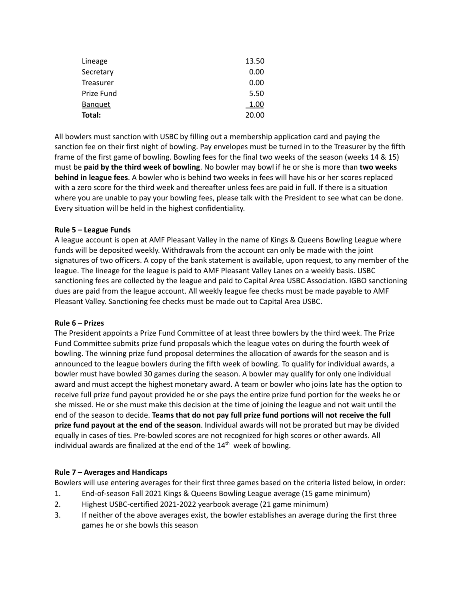| Lineage        | 13.50 |
|----------------|-------|
| Secretary      | 0.00  |
| Treasurer      | 0.00  |
| Prize Fund     | 5.50  |
| <b>Banquet</b> | 1.00  |
| Total:         | 20.00 |

All bowlers must sanction with USBC by filling out a membership application card and paying the sanction fee on their first night of bowling. Pay envelopes must be turned in to the Treasurer by the fifth frame of the first game of bowling. Bowling fees for the final two weeks of the season (weeks 14 & 15) must be **paid by the third week of bowling**. No bowler may bowl if he or she is more than **two weeks behind in league fees**. A bowler who is behind two weeks in fees will have his or her scores replaced with a zero score for the third week and thereafter unless fees are paid in full. If there is a situation where you are unable to pay your bowling fees, please talk with the President to see what can be done. Every situation will be held in the highest confidentiality.

## **Rule 5 – League Funds**

A league account is open at AMF Pleasant Valley in the name of Kings & Queens Bowling League where funds will be deposited weekly. Withdrawals from the account can only be made with the joint signatures of two officers. A copy of the bank statement is available, upon request, to any member of the league. The lineage for the league is paid to AMF Pleasant Valley Lanes on a weekly basis. USBC sanctioning fees are collected by the league and paid to Capital Area USBC Association. IGBO sanctioning dues are paid from the league account. All weekly league fee checks must be made payable to AMF Pleasant Valley. Sanctioning fee checks must be made out to Capital Area USBC.

#### **Rule 6 – Prizes**

The President appoints a Prize Fund Committee of at least three bowlers by the third week. The Prize Fund Committee submits prize fund proposals which the league votes on during the fourth week of bowling. The winning prize fund proposal determines the allocation of awards for the season and is announced to the league bowlers during the fifth week of bowling. To qualify for individual awards, a bowler must have bowled 30 games during the season. A bowler may qualify for only one individual award and must accept the highest monetary award. A team or bowler who joins late has the option to receive full prize fund payout provided he or she pays the entire prize fund portion for the weeks he or she missed. He or she must make this decision at the time of joining the league and not wait until the end of the season to decide. **Teams that do not pay full prize fund portions will not receive the full prize fund payout at the end of the season**. Individual awards will not be prorated but may be divided equally in cases of ties. Pre-bowled scores are not recognized for high scores or other awards. All individual awards are finalized at the end of the 14<sup>th</sup> week of bowling.

## **Rule 7 – Averages and Handicaps**

Bowlers will use entering averages for their first three games based on the criteria listed below, in order:

- 1. End-of-season Fall 2021 Kings & Queens Bowling League average (15 game minimum)
- 2. Highest USBC-certified 2021-2022 yearbook average (21 game minimum)
- 3. If neither of the above averages exist, the bowler establishes an average during the first three games he or she bowls this season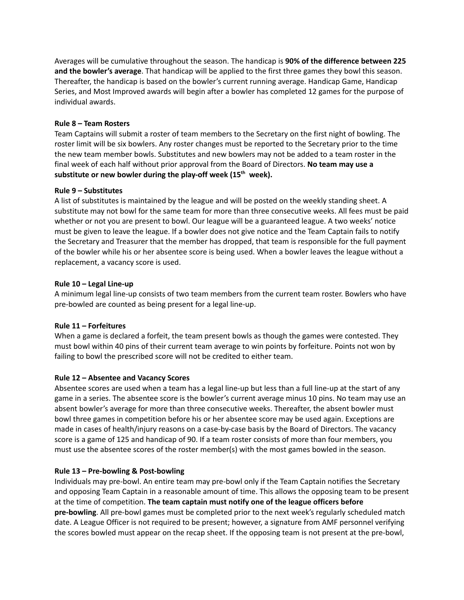Averages will be cumulative throughout the season. The handicap is **90% of the difference between 225 and the bowler's average**. That handicap will be applied to the first three games they bowl this season. Thereafter, the handicap is based on the bowler's current running average. Handicap Game, Handicap Series, and Most Improved awards will begin after a bowler has completed 12 games for the purpose of individual awards.

## **Rule 8 – Team Rosters**

Team Captains will submit a roster of team members to the Secretary on the first night of bowling. The roster limit will be six bowlers. Any roster changes must be reported to the Secretary prior to the time the new team member bowls. Substitutes and new bowlers may not be added to a team roster in the final week of each half without prior approval from the Board of Directors. **No team may use a substitute or new bowler during the play-off week (15 th week).**

#### **Rule 9 – Substitutes**

A list of substitutes is maintained by the league and will be posted on the weekly standing sheet. A substitute may not bowl for the same team for more than three consecutive weeks. All fees must be paid whether or not you are present to bowl. Our league will be a guaranteed league. A two weeks' notice must be given to leave the league. If a bowler does not give notice and the Team Captain fails to notify the Secretary and Treasurer that the member has dropped, that team is responsible for the full payment of the bowler while his or her absentee score is being used. When a bowler leaves the league without a replacement, a vacancy score is used.

#### **Rule 10 – Legal Line-up**

A minimum legal line-up consists of two team members from the current team roster. Bowlers who have pre-bowled are counted as being present for a legal line-up.

#### **Rule 11 – Forfeitures**

When a game is declared a forfeit, the team present bowls as though the games were contested. They must bowl within 40 pins of their current team average to win points by forfeiture. Points not won by failing to bowl the prescribed score will not be credited to either team.

#### **Rule 12 – Absentee and Vacancy Scores**

Absentee scores are used when a team has a legal line-up but less than a full line-up at the start of any game in a series. The absentee score is the bowler's current average minus 10 pins. No team may use an absent bowler's average for more than three consecutive weeks. Thereafter, the absent bowler must bowl three games in competition before his or her absentee score may be used again. Exceptions are made in cases of health/injury reasons on a case-by-case basis by the Board of Directors. The vacancy score is a game of 125 and handicap of 90. If a team roster consists of more than four members, you must use the absentee scores of the roster member(s) with the most games bowled in the season.

#### **Rule 13 – Pre-bowling & Post-bowling**

Individuals may pre-bowl. An entire team may pre-bowl only if the Team Captain notifies the Secretary and opposing Team Captain in a reasonable amount of time. This allows the opposing team to be present at the time of competition. **The team captain must notify one of the league officers before pre-bowling**. All pre-bowl games must be completed prior to the next week's regularly scheduled match date. A League Officer is not required to be present; however, a signature from AMF personnel verifying the scores bowled must appear on the recap sheet. If the opposing team is not present at the pre-bowl,